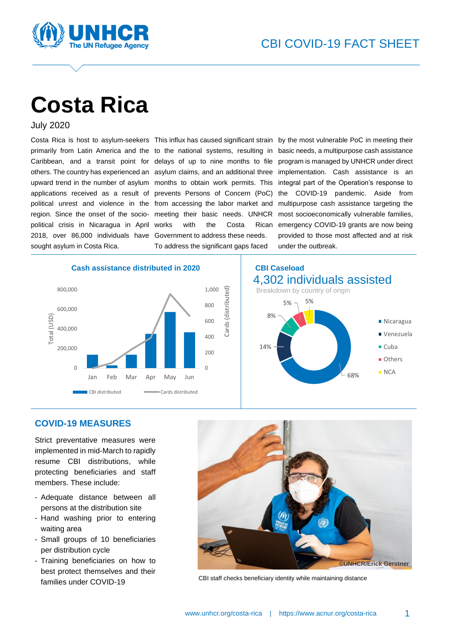

# **Costa Rica**

July 2020

Caribbean, and a transit point for delays of up to nine months to file upward trend in the number of asylum months to obtain work permits. This applications received as a result of prevents Persons of Concern (PoC) political unrest and violence in the from accessing the labor market and region. Since the onset of the socio-meeting their basic needs. UNHCR political crisis in Nicaragua in April 2018, over 86,000 individuals have Government to address these needs. sought asylum in Costa Rica.

with the Costa Rican To address the significant gaps faced

Cards (distributed)

Cards

(distributed)

Costa Rica is host to asylum-seekers This influx has caused significant strain by the most vulnerable PoC in meeting their primarily from Latin America and the to the national systems, resulting in basic needs, a multipurpose cash assistance others. The country has experienced an asylum claims, and an additional three implementation. Cash assistance is an program is managed by UNHCR under direct integral part of the Operation's response to the COVID-19 pandemic. Aside from multipurpose cash assistance targeting the most socioeconomically vulnerable families, emergency COVID-19 grants are now being provided to those most affected and at risk under the outbreak.







#### **COVID-19 MEASURES**

Strict preventative measures were implemented in mid-March to rapidly resume CBI distributions, while protecting beneficiaries and staff members. These include:

- Adequate distance between all persons at the distribution site
- Hand washing prior to entering waiting area
- Small groups of 10 beneficiaries per distribution cycle
- Training beneficiaries on how to best protect themselves and their families under COVID-19



CBI staff checks beneficiary identity while maintaining distance